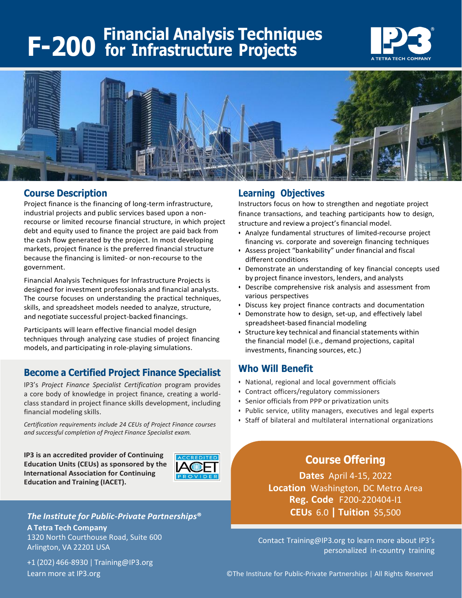# **F-200 Financial Analysis Techniques for Infrastructure Projects**





#### **Course Description**

Project finance is the financing of long-term infrastructure, industrial projects and public services based upon a nonrecourse or limited recourse financial structure, in which project debt and equity used to finance the project are paid back from the cash flow generated by the project. In most developing markets, project finance is the preferred financial structure because the financing is limited- or non-recourse to the government.

Financial Analysis Techniques for Infrastructure Projects is designed for investment professionals and financial analysts. The course focuses on understanding the practical techniques, skills, and spreadsheet models needed to analyze, structure, and negotiate successful project-backed financings.

Participants will learn effective financial model design techniques through analyzing case studies of project financing models, and participating in role-playing simulations.

### **Become a Certified Project Finance Specialist**

IP3's *Project Finance Specialist Certification* program provides a core body of knowledge in project finance, creating a worldclass standard in project finance skills development, including financial modeling skills.

*Certification requirements include 24 CEUs of Project Finance courses and successful completion of Project Finance Specialist exam.*

**IP3 is an accredited provider of Continuing Education Units (CEUs) as sponsored by the International Association for Continuing Education and Training (IACET).**



*The Institute for Public-Private Partnerships***® A Tetra Tech Company** 1320 North Courthouse Road, Suite 600 Arlington, VA 22201 USA

+1 (202) 466-8930 | [Training@IP3.org](mailto:Training@IP3.org)

#### **Learning Objectives**

Instructors focus on how to strengthen and negotiate project finance transactions, and teaching participants how to design, structure and review a project's financial model.

- Analyze fundamental structures of limited-recourse project financing vs. corporate and sovereign financing techniques
- Assess project "bankability" under financial and fiscal different conditions
- Demonstrate an understanding of key financial concepts used by project finance investors, lenders, and analysts
- Describe comprehensive risk analysis and assessment from various perspectives
- Discuss key project finance contracts and documentation
- Demonstrate how to design, set-up, and effectively label spreadsheet-based financial modeling
- Structure key technical and financial statements within the financial model (i.e., demand projections, capital investments, financing sources, etc.)

#### **Who Will Benefit**

- National, regional and local government officials
- Contract officers/regulatory commissioners
- Senior officials from PPP or privatization units
- Public service, utility managers, executives and legal experts
- Staff of bilateral and multilateral international organizations

## **Course Offering**

**Dates** April 4-15, 2022 **Location** Washington, DC Metro Area **Reg. Code** F200-220404-I1 **CEUs** 6.0 **| Tuition** \$5,500

Contact [Training@IP3.org](mailto:Training@IP3.org) to learn more about IP3's personalized in-country training

Learn more at IP3.org **Call Accord Contract Contract Contract** Contract Contract Contract Contract Contract Contr<br>
Contract Contract Contract Contract Contract Contract Contract Contract Contract Contract Contract Contract